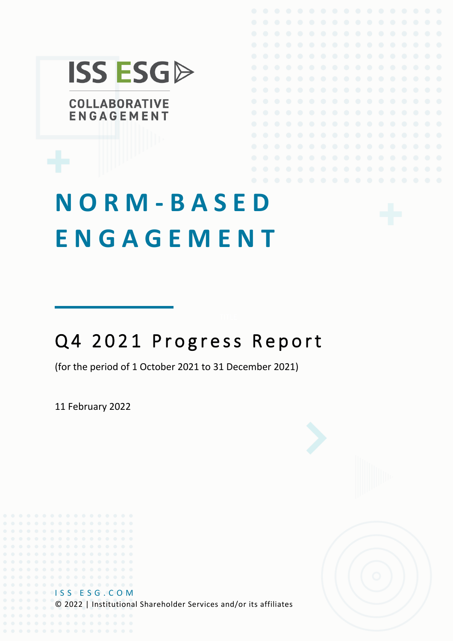

**ENGAGEMENT** 

# **N O R M - B A S E D E N G A G E M E N T**

## Q4 2021 Progress Report

(for the period of 1 October 2021 to 31 December 2021)

11 February 2022

ISS ESG.COM © 2022 | Institutional Shareholder Services and/or its affiliates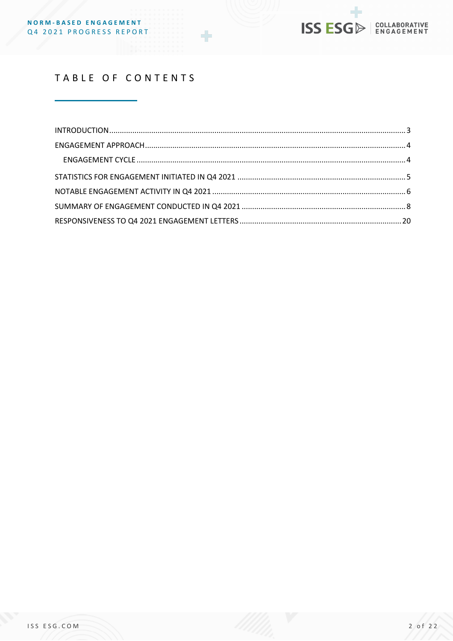## TABLE OF CONTENTS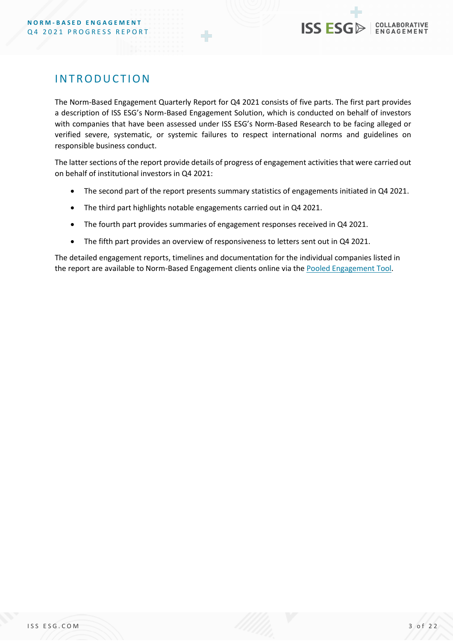

## <span id="page-2-0"></span>**INTRODUCTION**

The Norm-Based Engagement Quarterly Report for Q4 2021 consists of five parts. The first part provides a description of ISS ESG's Norm-Based Engagement Solution, which is conducted on behalf of investors with companies that have been assessed under ISS ESG's Norm-Based Research to be facing alleged or verified severe, systematic, or systemic failures to respect international norms and guidelines on responsible business conduct.

The latter sections of the report provide details of progress of engagement activities that were carried out on behalf of institutional investors in Q4 2021:

- The second part of the report presents summary statistics of engagements initiated in Q4 2021.
- The third part highlights notable engagements carried out in Q4 2021.
- The fourth part provides summaries of engagement responses received in Q4 2021.
- The fifth part provides an overview of responsiveness to letters sent out in Q4 2021.

The detailed engagement reports, timelines and documentation for the individual companies listed in the report are available to Norm-Based Engagement clients online via th[e Pooled Engagement Tool.](https://pooled-engagement.issgovernance.com/home)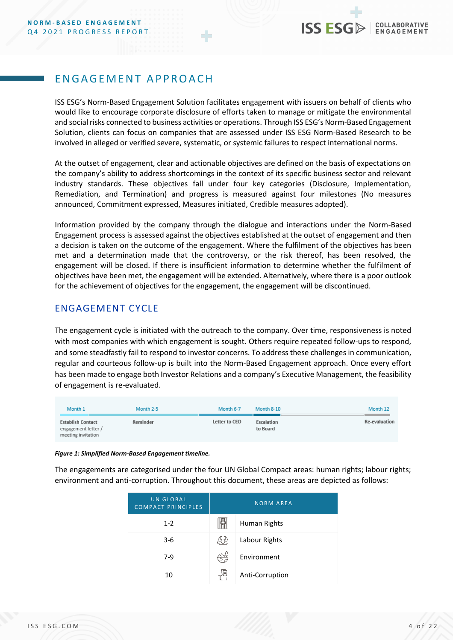## <span id="page-3-0"></span>ENGAGEMENT APPROACH

ISS ESG's Norm-Based Engagement Solution facilitates engagement with issuers on behalf of clients who would like to encourage corporate disclosure of efforts taken to manage or mitigate the environmental and social risks connected to business activities or operations. Through ISS ESG's Norm-Based Engagement Solution, clients can focus on companies that are assessed under ISS ESG Norm-Based Research to be involved in alleged or verified severe, systematic, or systemic failures to respect international norms.

At the outset of engagement, clear and actionable objectives are defined on the basis of expectations on the company's ability to address shortcomings in the context of its specific business sector and relevant industry standards. These objectives fall under four key categories (Disclosure, Implementation, Remediation, and Termination) and progress is measured against four milestones (No measures announced, Commitment expressed, Measures initiated, Credible measures adopted).

Information provided by the company through the dialogue and interactions under the Norm-Based Engagement process is assessed against the objectives established at the outset of engagement and then a decision is taken on the outcome of the engagement. Where the fulfilment of the objectives has been met and a determination made that the controversy, or the risk thereof, has been resolved, the engagement will be closed. If there is insufficient information to determine whether the fulfilment of objectives have been met, the engagement will be extended. Alternatively, where there is a poor outlook for the achievement of objectives for the engagement, the engagement will be discontinued.

### <span id="page-3-1"></span>ENGAGEMENT CYCLE

The engagement cycle is initiated with the outreach to the company. Over time, responsiveness is noted with most companies with which engagement is sought. Others require repeated follow-ups to respond, and some steadfastly fail to respond to investor concerns. To address these challenges in communication, regular and courteous follow-up is built into the Norm-Based Engagement approach. Once every effort has been made to engage both Investor Relations and a company's Executive Management, the feasibility of engagement is re-evaluated.

| Month 1                                                               | Month 2-5 | Month 6-7     | Month 8-10             | Month 12      |
|-----------------------------------------------------------------------|-----------|---------------|------------------------|---------------|
| <b>Establish Contact</b><br>engagement letter /<br>meeting invitation | Reminder  | Letter to CEO | Escalation<br>to Board | Re-evaluation |

*Figure 1: Simplified Norm-Based Engagement timeline.* 

The engagements are categorised under the four UN Global Compact areas: human rights; labour rights; environment and anti-corruption. Throughout this document, these areas are depicted as follows:

| UN GLOBAL<br><b>COMPACT PRINCIPLES</b> |     | <b>NORM AREA</b> |
|----------------------------------------|-----|------------------|
| $1 - 2$                                |     | Human Rights     |
| $3-6$                                  |     | Labour Rights    |
| $7-9$                                  |     | Environment      |
| 10                                     | J۱۰ | Anti-Corruption  |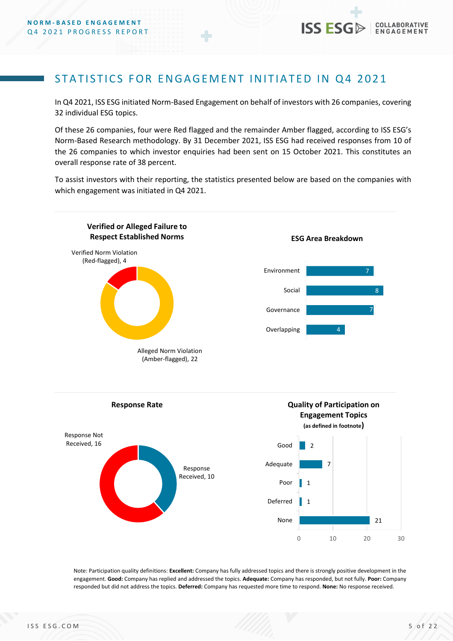<span id="page-4-0"></span>In Q4 2021, ISS ESG initiated Norm-Based Engagement on behalf of investors with 26 companies, covering 32 individual ESG topics.

Of these 26 companies, four were Red flagged and the remainder Amber flagged, according to ISS ESG's Norm-Based Research methodology. By 31 December 2021, ISS ESG had received responses from 10 of the 26 companies to which investor enquiries had been sent on 15 October 2021. This constitutes an overall response rate of 38 percent.

To assist investors with their reporting, the statistics presented below are based on the companies with which engagement was initiated in Q4 2021.



Note: Participation quality definitions: **Excellent:** Company has fully addressed topics and there is strongly positive development in the engagement. **Good:** Company has replied and addressed the topics. **Adequate:** Company has responded, but not fully. **Poor:** Company responded but did not address the topics. **Deferred:** Company has requested more time to respond. **None:** No response received.

**COLLABORATIVE ENGAGEMENT**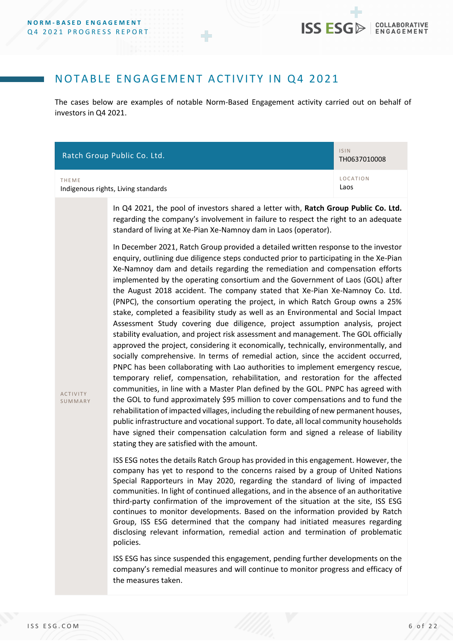## <span id="page-5-0"></span>NOTABLE ENGAGEMENT ACTIVITY IN Q4 2021

The cases below are examples of notable Norm-Based Engagement activity carried out on behalf of investors in Q4 2021.

| Ratch Group Public Co. Ltd.         | <b>ISIN</b><br>TH0637010008 |
|-------------------------------------|-----------------------------|
| THEME                               | LOCATION                    |
| Indigenous rights, Living standards | Laos                        |

In Q4 2021, the pool of investors shared a letter with, **Ratch Group Public Co. Ltd.** regarding the company's involvement in failure to respect the right to an adequate standard of living at Xe-Pian Xe-Namnoy dam in Laos (operator).

In December 2021, Ratch Group provided a detailed written response to the investor enquiry, outlining due diligence steps conducted prior to participating in the Xe-Pian Xe-Namnoy dam and details regarding the remediation and compensation efforts implemented by the operating consortium and the Government of Laos (GOL) after the August 2018 accident. The company stated that Xe-Pian Xe-Namnoy Co. Ltd. (PNPC), the consortium operating the project, in which Ratch Group owns a 25% stake, completed a feasibility study as well as an Environmental and Social Impact Assessment Study covering due diligence, project assumption analysis, project stability evaluation, and project risk assessment and management. The GOL officially approved the project, considering it economically, technically, environmentally, and socially comprehensive. In terms of remedial action, since the accident occurred, PNPC has been collaborating with Lao authorities to implement emergency rescue, temporary relief, compensation, rehabilitation, and restoration for the affected communities, in line with a Master Plan defined by the GOL. PNPC has agreed with the GOL to fund approximately \$95 million to cover compensations and to fund the rehabilitation of impacted villages, including the rebuilding of new permanent houses, public infrastructure and vocational support. To date, all local community households have signed their compensation calculation form and signed a release of liability stating they are satisfied with the amount.

ISS ESG notes the details Ratch Group has provided in this engagement. However, the company has yet to respond to the concerns raised by a group of United Nations Special Rapporteurs in May 2020, regarding the standard of living of impacted communities. In light of continued allegations, and in the absence of an authoritative third-party confirmation of the improvement of the situation at the site, ISS ESG continues to monitor developments. Based on the information provided by Ratch Group, ISS ESG determined that the company had initiated measures regarding disclosing relevant information, remedial action and termination of problematic policies.

ISS ESG has since suspended this engagement, pending further developments on the company's remedial measures and will continue to monitor progress and efficacy of the measures taken.

**ACTIVITY SUMMARY**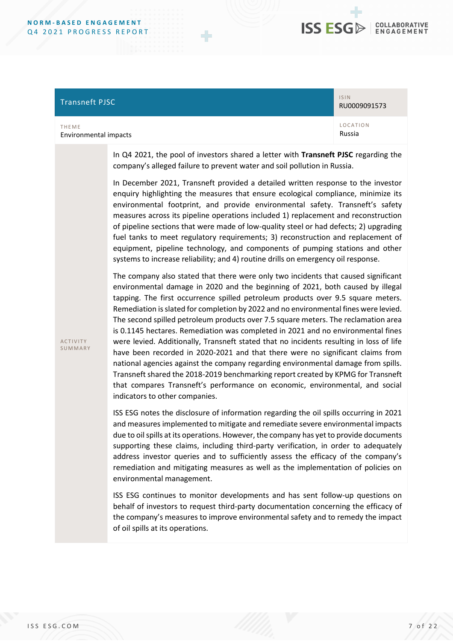

| Transneft PJSC        | <b>ISIN</b><br>RU0009091573 |
|-----------------------|-----------------------------|
| THEME                 | LOCATION                    |
| Environmental impacts | Russia                      |

In Q4 2021, the pool of investors shared a letter with **Transneft PJSC** regarding the company's alleged failure to prevent water and soil pollution in Russia.

In December 2021, Transneft provided a detailed written response to the investor enquiry highlighting the measures that ensure ecological compliance, minimize its environmental footprint, and provide environmental safety. Transneft's safety measures across its pipeline operations included 1) replacement and reconstruction of pipeline sections that were made of low-quality steel or had defects; 2) upgrading fuel tanks to meet regulatory requirements; 3) reconstruction and replacement of equipment, pipeline technology, and components of pumping stations and other systems to increase reliability; and 4) routine drills on emergency oil response.

The company also stated that there were only two incidents that caused significant environmental damage in 2020 and the beginning of 2021, both caused by illegal tapping. The first occurrence spilled petroleum products over 9.5 square meters. Remediation is slated for completion by 2022 and no environmental fines were levied. The second spilled petroleum products over 7.5 square meters. The reclamation area is 0.1145 hectares. Remediation was completed in 2021 and no environmental fines were levied. Additionally, Transneft stated that no incidents resulting in loss of life have been recorded in 2020-2021 and that there were no significant claims from national agencies against the company regarding environmental damage from spills. Transneft shared the 2018-2019 benchmarking report created by KPMG for Transneft that compares Transneft's performance on economic, environmental, and social indicators to other companies.

ISS ESG notes the disclosure of information regarding the oil spills occurring in 2021 and measures implemented to mitigate and remediate severe environmental impacts due to oil spills at its operations. However, the company has yet to provide documents supporting these claims, including third-party verification, in order to adequately address investor queries and to sufficiently assess the efficacy of the company's remediation and mitigating measures as well as the implementation of policies on environmental management.

ISS ESG continues to monitor developments and has sent follow-up questions on behalf of investors to request third-party documentation concerning the efficacy of the company's measures to improve environmental safety and to remedy the impact of oil spills at its operations.

**ACTIVITY** S U M M A R Y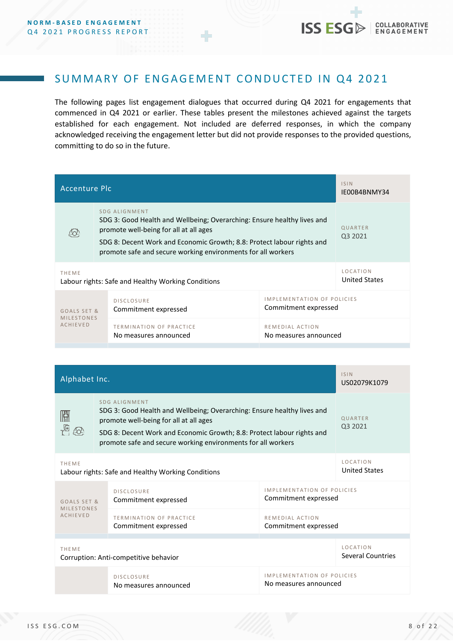## <span id="page-7-0"></span>SUMMARY OF ENGAGEMENT CONDUCTED IN Q4 2021

The following pages list engagement dialogues that occurred during Q4 2021 for engagements that commenced in Q4 2021 or earlier. These tables present the milestones achieved against the targets established for each engagement. Not included are deferred responses, in which the company acknowledged receiving the engagement letter but did not provide responses to the provided questions, committing to do so in the future.

| Accenture Plc                                                      |                                                                                                                                                                                                                                                                              | <b>ISIN</b><br>IE00B4BNMY34                               |                                         |
|--------------------------------------------------------------------|------------------------------------------------------------------------------------------------------------------------------------------------------------------------------------------------------------------------------------------------------------------------------|-----------------------------------------------------------|-----------------------------------------|
| 407                                                                | SDG ALIGNMENT<br>SDG 3: Good Health and Wellbeing; Overarching: Ensure healthy lives and<br>promote well-being for all at all ages<br>SDG 8: Decent Work and Economic Growth; 8.8: Protect labour rights and<br>promote safe and secure working environments for all workers |                                                           | QUARTER<br>Q3 2021                      |
| <b>THEME</b><br>Labour rights: Safe and Healthy Working Conditions |                                                                                                                                                                                                                                                                              |                                                           | <b>LOCATION</b><br><b>United States</b> |
| GOALS SET &<br><b>MILESTONES</b>                                   | <b>DISCLOSURE</b><br>Commitment expressed                                                                                                                                                                                                                                    | <b>IMPLEMENTATION OF POLICIES</b><br>Commitment expressed |                                         |
| <b>ACHIEVED</b>                                                    | TERMINATION OF PRACTICE<br>No measures announced                                                                                                                                                                                                                             | REMEDIAL ACTION<br>No measures announced                  |                                         |

| Alphabet Inc.                                                                                                                                                                                                                                                                            |  |                                                        | <b>ISIN</b><br>US02079K1079                                |  |
|------------------------------------------------------------------------------------------------------------------------------------------------------------------------------------------------------------------------------------------------------------------------------------------|--|--------------------------------------------------------|------------------------------------------------------------|--|
| SDG ALIGNMENT<br>SDG 3: Good Health and Wellbeing; Overarching: Ensure healthy lives and<br>lH<br>promote well-being for all at all ages<br>恒的<br>SDG 8: Decent Work and Economic Growth; 8.8: Protect labour rights and<br>promote safe and secure working environments for all workers |  | OUARTER<br>Q3 2021                                     |                                                            |  |
| THEME<br>Labour rights: Safe and Healthy Working Conditions                                                                                                                                                                                                                              |  |                                                        | <b>LOCATION</b><br><b>United States</b>                    |  |
| GOALS SET &<br><b>MILESTONES</b><br><b>ACHIEVED</b>                                                                                                                                                                                                                                      |  | <b>DISCLOSURE</b><br>Commitment expressed              | <b>IMPLEMENTATION OF POLICIES</b><br>Commitment expressed  |  |
|                                                                                                                                                                                                                                                                                          |  | <b>TERMINATION OF PRACTICE</b><br>Commitment expressed | REMEDIAL ACTION<br>Commitment expressed                    |  |
| THEME<br>Corruption: Anti-competitive behavior                                                                                                                                                                                                                                           |  |                                                        | <b>LOCATION</b><br>Several Countries                       |  |
|                                                                                                                                                                                                                                                                                          |  | <b>DISCLOSURE</b><br>No measures announced             | <b>IMPLEMENTATION OF POLICIES</b><br>No measures announced |  |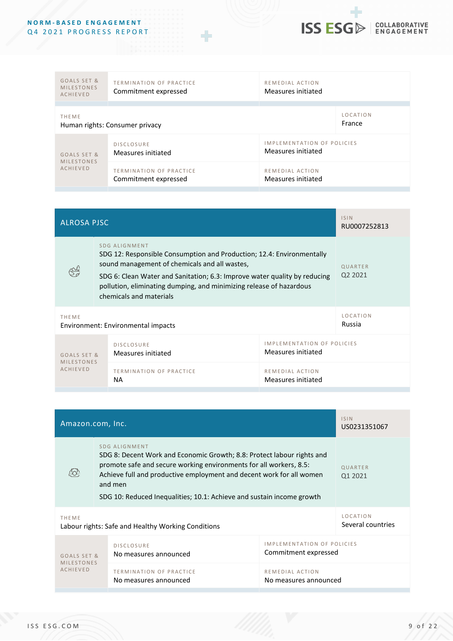

| GOALS SET &<br><b>MILESTONES</b><br><b>ACHIEVED</b> | TERMINATION OF PRACTICE<br>Commitment expressed        | REMEDIAL ACTION<br>Measures initiated                   |                           |
|-----------------------------------------------------|--------------------------------------------------------|---------------------------------------------------------|---------------------------|
| THEME                                               | Human rights: Consumer privacy                         |                                                         | <b>LOCATION</b><br>France |
| GOALS SET &<br><b>MILESTONES</b>                    | <b>DISCLOSURE</b><br>Measures initiated                | <b>IMPLEMENTATION OF POLICIES</b><br>Measures initiated |                           |
| <b>ACHIEVED</b>                                     | <b>TERMINATION OF PRACTICE</b><br>Commitment expressed | REMEDIAL ACTION<br>Measures initiated                   |                           |

| <b>ALROSA PJSC</b>                                                                                                                                                                                                                                                                                                     |                                      | <b>ISIN</b><br>RU0007252813           |  |
|------------------------------------------------------------------------------------------------------------------------------------------------------------------------------------------------------------------------------------------------------------------------------------------------------------------------|--------------------------------------|---------------------------------------|--|
| SDG ALIGNMENT<br>SDG 12: Responsible Consumption and Production; 12.4: Environmentally<br>sound management of chemicals and all wastes,<br>SDG 6: Clean Water and Sanitation; 6.3: Improve water quality by reducing<br>pollution, eliminating dumping, and minimizing release of hazardous<br>chemicals and materials |                                      | QUARTER<br>Q <sub>2</sub> 2021        |  |
| <b>THEME</b><br>Environment: Environmental impacts                                                                                                                                                                                                                                                                     |                                      | <b>LOCATION</b><br>Russia             |  |
| <b>DISCLOSURE</b><br>Measures initiated<br>Measures initiated<br>GOALS SET &                                                                                                                                                                                                                                           |                                      | <b>IMPLEMENTATION OF POLICIES</b>     |  |
| <b>MILESTONES</b><br><b>ACHIEVED</b>                                                                                                                                                                                                                                                                                   | <b>TERMINATION OF PRACTICE</b><br>NA | REMEDIAL ACTION<br>Measures initiated |  |

| Amazon.com, Inc.                                                   |                                                                                                                                                                                                                                                                                                                           |                                                    | <b>ISIN</b><br>US0231351067 |
|--------------------------------------------------------------------|---------------------------------------------------------------------------------------------------------------------------------------------------------------------------------------------------------------------------------------------------------------------------------------------------------------------------|----------------------------------------------------|-----------------------------|
|                                                                    | SDG ALIGNMENT<br>SDG 8: Decent Work and Economic Growth; 8.8: Protect labour rights and<br>promote safe and secure working environments for all workers, 8.5:<br>Achieve full and productive employment and decent work for all women<br>and men<br>SDG 10: Reduced Inequalities; 10.1: Achieve and sustain income growth |                                                    | OUARTER<br>01 2021          |
| <b>THEME</b><br>Labour rights: Safe and Healthy Working Conditions |                                                                                                                                                                                                                                                                                                                           | <b>LOCATION</b><br>Several countries               |                             |
| <b>DISCLOSURE</b><br>No measures announced<br>GOALS SET &          |                                                                                                                                                                                                                                                                                                                           | IMPLEMENTATION OF POLICIES<br>Commitment expressed |                             |
| <b>MILESTONES</b><br><b>ACHIEVED</b>                               | <b>TERMINATION OF PRACTICE</b><br>No measures announced                                                                                                                                                                                                                                                                   | REMEDIAL ACTION<br>No measures announced           |                             |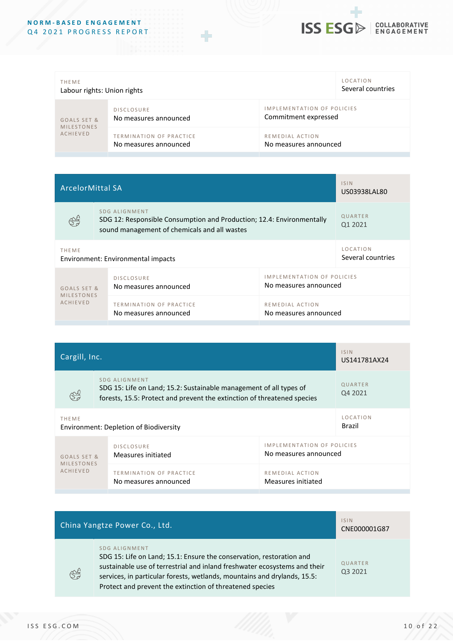

| <b>THEME</b><br>Labour rights: Union rights |                                                         |                                                    | LOCATION<br>Several countries |
|---------------------------------------------|---------------------------------------------------------|----------------------------------------------------|-------------------------------|
| GOALS SET &                                 | <b>DISCLOSURE</b><br>No measures announced              | IMPLEMENTATION OF POLICIES<br>Commitment expressed |                               |
| <b>MILESTONES</b><br>ACHIEVED               | <b>TERMINATION OF PRACTICE</b><br>No measures announced | REMEDIAL ACTION<br>No measures announced           |                               |

| <b>ArcelorMittal SA</b>                     |                                                                                                                                        | <b>ISIN</b><br>US03938LAL80                                |                                      |
|---------------------------------------------|----------------------------------------------------------------------------------------------------------------------------------------|------------------------------------------------------------|--------------------------------------|
| \$\$                                        | SDG ALIGNMENT<br>SDG 12: Responsible Consumption and Production; 12.4: Environmentally<br>sound management of chemicals and all wastes |                                                            | QUARTER<br>01 2021                   |
| THEME<br>Environment: Environmental impacts |                                                                                                                                        |                                                            | <b>LOCATION</b><br>Several countries |
| GOALS SET &<br><b>MILESTONES</b>            | <b>DISCLOSURE</b><br>No measures announced                                                                                             | <b>IMPLEMENTATION OF POLICIES</b><br>No measures announced |                                      |
| <b>ACHIEVED</b>                             | <b>TERMINATION OF PRACTICE</b><br>No measures announced                                                                                | REMEDIAL ACTION<br>No measures announced                   |                                      |

| Cargill, Inc.                                          |                                                                                                                                                                | <b>ISIN</b><br>US141781AX24                                |                    |
|--------------------------------------------------------|----------------------------------------------------------------------------------------------------------------------------------------------------------------|------------------------------------------------------------|--------------------|
|                                                        | SDG ALIGNMENT<br>SDG 15: Life on Land; 15.2: Sustainable management of all types of<br>forests, 15.5: Protect and prevent the extinction of threatened species |                                                            | QUARTER<br>Q4 2021 |
| <b>THEME</b><br>Environment: Depletion of Biodiversity |                                                                                                                                                                | <b>LOCATION</b><br>Brazil                                  |                    |
| GOALS SET &                                            | <b>DISCLOSURE</b><br>Measures initiated                                                                                                                        | <b>IMPLEMENTATION OF POLICIES</b><br>No measures announced |                    |
| <b>MILESTONES</b><br><b>ACHIEVED</b>                   | TERMINATION OF PRACTICE<br>No measures announced                                                                                                               | REMEDIAL ACTION<br>Measures initiated                      |                    |

| China Yangtze Power Co., Ltd. |                                                                                                                                                                                                                                                                                                            | <b>ISIN</b><br>CNE000001G87 |
|-------------------------------|------------------------------------------------------------------------------------------------------------------------------------------------------------------------------------------------------------------------------------------------------------------------------------------------------------|-----------------------------|
| $\mathfrak{S}^2$              | SDG ALIGNMENT<br>SDG 15: Life on Land; 15.1: Ensure the conservation, restoration and<br>sustainable use of terrestrial and inland freshwater ecosystems and their<br>services, in particular forests, wetlands, mountains and drylands, 15.5:<br>Protect and prevent the extinction of threatened species | QUARTER<br>Q3 2021          |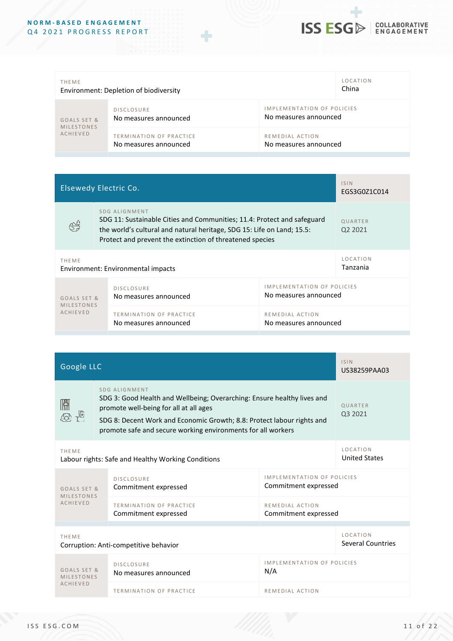

| <b>LOCATION</b><br>THEME<br>China<br>Environment: Depletion of biodiversity |                                                  |                                                     |  |
|-----------------------------------------------------------------------------|--------------------------------------------------|-----------------------------------------------------|--|
| GOALS SET &                                                                 | <b>DISCLOSURE</b><br>No measures announced       | IMPLEMENTATION OF POLICIES<br>No measures announced |  |
| <b>MILESTONES</b><br>ACHIEVED                                               | TERMINATION OF PRACTICE<br>No measures announced | REMEDIAL ACTION<br>No measures announced            |  |

| Elsewedy Electric Co.                                     |                                                                                                                                                                                                                                |                                                            | <b>ISIN</b><br>EGS3G0Z1C014    |
|-----------------------------------------------------------|--------------------------------------------------------------------------------------------------------------------------------------------------------------------------------------------------------------------------------|------------------------------------------------------------|--------------------------------|
| 臵                                                         | SDG ALIGNMENT<br>SDG 11: Sustainable Cities and Communities; 11.4: Protect and safeguard<br>the world's cultural and natural heritage, SDG 15: Life on Land; 15.5:<br>Protect and prevent the extinction of threatened species |                                                            | QUARTER<br>Q <sub>2</sub> 2021 |
| <b>THEME</b><br>Environment: Environmental impacts        |                                                                                                                                                                                                                                |                                                            | LOCATION<br>Tanzania           |
| <b>DISCLOSURE</b><br>No measures announced<br>GOALS SET & |                                                                                                                                                                                                                                | <b>IMPLEMENTATION OF POLICIES</b><br>No measures announced |                                |
| <b>MILESTONES</b><br>ACHIEVED                             | <b>TERMINATION OF PRACTICE</b><br>No measures announced                                                                                                                                                                        | REMEDIAL ACTION<br>No measures announced                   |                                |

| Google LLC                                                         |  |                                                                                                                                                                                                                                                                              | <b>ISIN</b><br>US38259PAA03                               |                    |
|--------------------------------------------------------------------|--|------------------------------------------------------------------------------------------------------------------------------------------------------------------------------------------------------------------------------------------------------------------------------|-----------------------------------------------------------|--------------------|
| H<br>$\frac{\sqrt{2}}{2}$                                          |  | SDG ALIGNMENT<br>SDG 3: Good Health and Wellbeing; Overarching: Ensure healthy lives and<br>promote well-being for all at all ages<br>SDG 8: Decent Work and Economic Growth; 8.8: Protect labour rights and<br>promote safe and secure working environments for all workers |                                                           | QUARTER<br>Q3 2021 |
| <b>THEME</b><br>Labour rights: Safe and Healthy Working Conditions |  |                                                                                                                                                                                                                                                                              | <b>LOCATION</b><br><b>United States</b>                   |                    |
| GOALS SET &                                                        |  | <b>DISCLOSURE</b><br>Commitment expressed                                                                                                                                                                                                                                    | <b>IMPLEMENTATION OF POLICIES</b><br>Commitment expressed |                    |
| <b>MILESTONES</b><br><b>ACHIEVED</b>                               |  | TERMINATION OF PRACTICE<br>Commitment expressed                                                                                                                                                                                                                              | REMEDIAL ACTION<br>Commitment expressed                   |                    |
| THEME<br>Corruption: Anti-competitive behavior                     |  |                                                                                                                                                                                                                                                                              | <b>LOCATION</b><br>Several Countries                      |                    |
| GOALS SET &<br><b>MILESTONES</b><br><b>ACHIEVED</b>                |  | <b>DISCLOSURE</b><br>No measures announced                                                                                                                                                                                                                                   | <b>IMPLEMENTATION OF POLICIES</b><br>N/A                  |                    |
|                                                                    |  | <b>TERMINATION OF PRACTICE</b>                                                                                                                                                                                                                                               | REMEDIAL ACTION                                           |                    |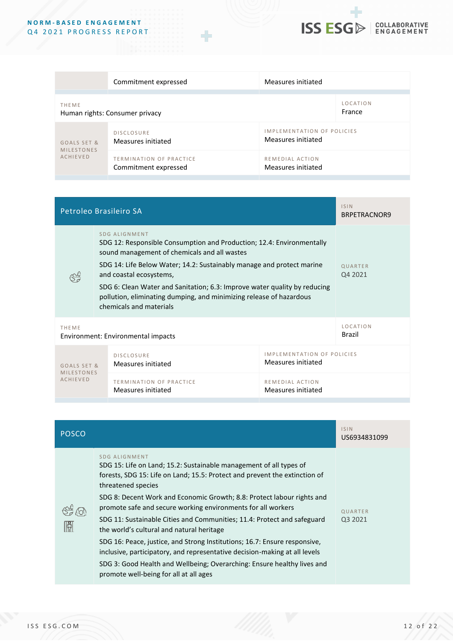

|                                                                      | Commitment expressed                            | Measures initiated                                      |  |
|----------------------------------------------------------------------|-------------------------------------------------|---------------------------------------------------------|--|
| <b>LOCATION</b><br>THEME<br>France<br>Human rights: Consumer privacy |                                                 |                                                         |  |
| GOALS SET &                                                          | <b>DISCLOSURE</b><br>Measures initiated         | <b>IMPLEMENTATION OF POLICIES</b><br>Measures initiated |  |
| <b>MILESTONES</b><br><b>ACHIEVED</b>                                 | TERMINATION OF PRACTICE<br>Commitment expressed | REMEDIAL ACTION<br>Measures initiated                   |  |

| Petroleo Brasileiro SA                             |                                                                                                                                                                                                                                                                                                                                                                                                                           |                                                         | <b>ISIN</b><br>BRPETRACNOR9 |
|----------------------------------------------------|---------------------------------------------------------------------------------------------------------------------------------------------------------------------------------------------------------------------------------------------------------------------------------------------------------------------------------------------------------------------------------------------------------------------------|---------------------------------------------------------|-----------------------------|
|                                                    | SDG ALIGNMENT<br>SDG 12: Responsible Consumption and Production; 12.4: Environmentally<br>sound management of chemicals and all wastes<br>SDG 14: Life Below Water; 14.2: Sustainably manage and protect marine<br>and coastal ecosystems,<br>SDG 6: Clean Water and Sanitation; 6.3: Improve water quality by reducing<br>pollution, eliminating dumping, and minimizing release of hazardous<br>chemicals and materials |                                                         | <b>OUARTER</b><br>Q4 2021   |
| <b>THEME</b><br>Environment: Environmental impacts |                                                                                                                                                                                                                                                                                                                                                                                                                           | <b>LOCATION</b><br>Brazil                               |                             |
| GOALS SET &<br><b>MILESTONES</b>                   | <b>DISCLOSURE</b><br>Measures initiated                                                                                                                                                                                                                                                                                                                                                                                   | <b>IMPLEMENTATION OF POLICIES</b><br>Measures initiated |                             |
| <b>ACHIEVED</b>                                    | TERMINATION OF PRACTICE<br>Measures initiated                                                                                                                                                                                                                                                                                                                                                                             | REMEDIAL ACTION<br>Measures initiated                   |                             |

| <b>POSCO</b> |                                                                                                                                                                                                                                                                                                                                                                                                                                                                                                                                                                                                                                                                                                 | <b>ISIN</b><br>US6934831099 |
|--------------|-------------------------------------------------------------------------------------------------------------------------------------------------------------------------------------------------------------------------------------------------------------------------------------------------------------------------------------------------------------------------------------------------------------------------------------------------------------------------------------------------------------------------------------------------------------------------------------------------------------------------------------------------------------------------------------------------|-----------------------------|
| H            | SDG ALIGNMENT<br>SDG 15: Life on Land; 15.2: Sustainable management of all types of<br>forests, SDG 15: Life on Land; 15.5: Protect and prevent the extinction of<br>threatened species<br>SDG 8: Decent Work and Economic Growth; 8.8: Protect labour rights and<br>promote safe and secure working environments for all workers<br>SDG 11: Sustainable Cities and Communities; 11.4: Protect and safeguard<br>the world's cultural and natural heritage<br>SDG 16: Peace, justice, and Strong Institutions; 16.7: Ensure responsive,<br>inclusive, participatory, and representative decision-making at all levels<br>SDG 3: Good Health and Wellbeing; Overarching: Ensure healthy lives and | QUARTER<br>Q3 2021          |
|              | promote well-being for all at all ages                                                                                                                                                                                                                                                                                                                                                                                                                                                                                                                                                                                                                                                          |                             |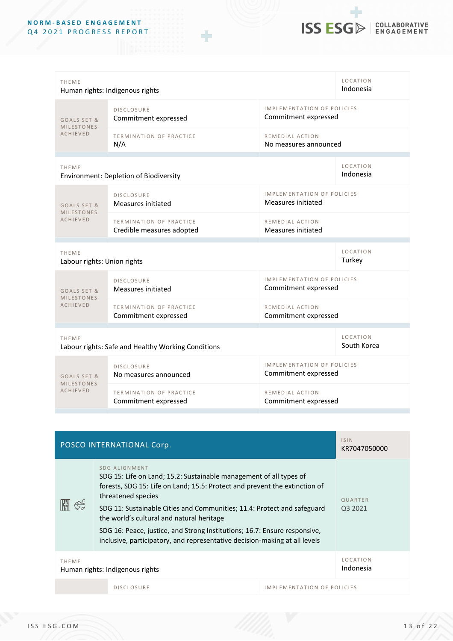

| <b>THEME</b><br>Human rights: Indigenous rights               |                                                             | <b>LOCATION</b><br>Indonesia                              |                                |
|---------------------------------------------------------------|-------------------------------------------------------------|-----------------------------------------------------------|--------------------------------|
| GOALS SET &<br>MILESTONES                                     | <b>DISCLOSURE</b><br>Commitment expressed                   | <b>IMPLEMENTATION OF POLICIES</b><br>Commitment expressed |                                |
| <b>ACHIEVED</b>                                               | TERMINATION OF PRACTICE<br>N/A                              | REMEDIAL ACTION<br>No measures announced                  |                                |
| <b>THEME</b><br><b>Environment: Depletion of Biodiversity</b> |                                                             |                                                           | <b>LOCATION</b><br>Indonesia   |
| GOALS SET &<br>MILESTONES                                     | <b>DISCLOSURE</b><br>Measures initiated                     | <b>IMPLEMENTATION OF POLICIES</b><br>Measures initiated   |                                |
| <b>ACHIEVED</b>                                               | <b>TERMINATION OF PRACTICE</b><br>Credible measures adopted | REMEDIAL ACTION<br>Measures initiated                     |                                |
| <b>THEME</b><br>Labour rights: Union rights                   |                                                             |                                                           | <b>LOCATION</b><br>Turkey      |
| GOALS SET &<br>MILESTONES                                     | <b>DISCLOSURE</b><br>Measures initiated                     | <b>IMPLEMENTATION OF POLICIES</b><br>Commitment expressed |                                |
| <b>ACHIEVED</b>                                               | <b>TERMINATION OF PRACTICE</b><br>Commitment expressed      | REMEDIAL ACTION<br>Commitment expressed                   |                                |
| THEME<br>Labour rights: Safe and Healthy Working Conditions   |                                                             |                                                           | <b>LOCATION</b><br>South Korea |
| GOALS SET &<br>MILESTONES<br><b>ACHIEVED</b>                  | <b>DISCLOSURE</b><br>No measures announced                  | <b>IMPLEMENTATION OF POLICIES</b><br>Commitment expressed |                                |
|                                                               | <b>TERMINATION OF PRACTICE</b><br>Commitment expressed      | REMEDIAL ACTION<br>Commitment expressed                   |                                |

|                                                 | POSCO INTERNATIONAL Corp.                                                                                                                                                                                                                                                                                                                                                                                                                                                  |                              | <b>ISIN</b><br>KR7047050000 |
|-------------------------------------------------|----------------------------------------------------------------------------------------------------------------------------------------------------------------------------------------------------------------------------------------------------------------------------------------------------------------------------------------------------------------------------------------------------------------------------------------------------------------------------|------------------------------|-----------------------------|
|                                                 | SDG ALIGNMENT<br>SDG 15: Life on Land; 15.2: Sustainable management of all types of<br>forests, SDG 15: Life on Land; 15.5: Protect and prevent the extinction of<br>threatened species<br>SDG 11: Sustainable Cities and Communities; 11.4: Protect and safeguard<br>the world's cultural and natural heritage<br>SDG 16: Peace, justice, and Strong Institutions; 16.7: Ensure responsive,<br>inclusive, participatory, and representative decision-making at all levels |                              | QUARTER<br>Q3 2021          |
| <b>THEME</b><br>Human rights: Indigenous rights |                                                                                                                                                                                                                                                                                                                                                                                                                                                                            | <b>LOCATION</b><br>Indonesia |                             |
|                                                 | <b>DISCLOSURE</b>                                                                                                                                                                                                                                                                                                                                                                                                                                                          | IMPLEMENTATION OF POLICIES   |                             |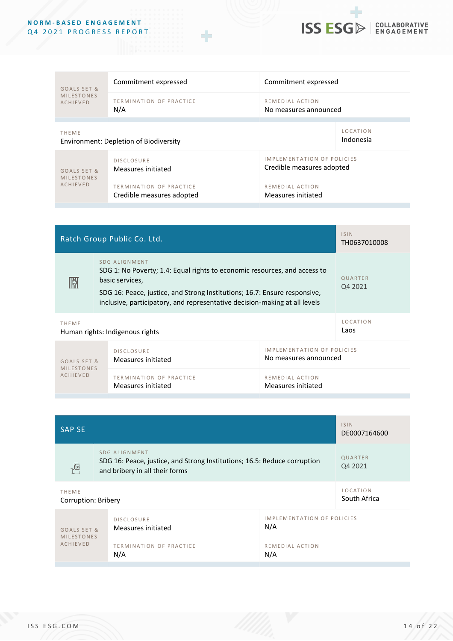| GOALS SET &<br><b>MILESTONES</b><br><b>ACHIEVED</b>    | Commitment expressed                                        | Commitment expressed                                           |                       |
|--------------------------------------------------------|-------------------------------------------------------------|----------------------------------------------------------------|-----------------------|
|                                                        | <b>TERMINATION OF PRACTICE</b><br>N/A                       | REMEDIAL ACTION<br>No measures announced                       |                       |
| <b>THEME</b><br>Environment: Depletion of Biodiversity |                                                             |                                                                | LOCATION<br>Indonesia |
| GOALS SET &<br><b>MILESTONES</b>                       | <b>DISCLOSURE</b><br>Measures initiated                     | <b>IMPLEMENTATION OF POLICIES</b><br>Credible measures adopted |                       |
| <b>ACHIEVED</b>                                        | <b>TERMINATION OF PRACTICE</b><br>Credible measures adopted | <b>REMEDIAL ACTION</b><br>Measures initiated                   |                       |

÷

٠

**ISS ESG** ENGAGEMENT

| Ratch Group Public Co. Ltd.                     |                                                                                                                                                                                                                                                                          |                                                            | <b>ISIN</b><br>TH0637010008 |
|-------------------------------------------------|--------------------------------------------------------------------------------------------------------------------------------------------------------------------------------------------------------------------------------------------------------------------------|------------------------------------------------------------|-----------------------------|
| H                                               | SDG ALIGNMENT<br>SDG 1: No Poverty; 1.4: Equal rights to economic resources, and access to<br>basic services,<br>SDG 16: Peace, justice, and Strong Institutions; 16.7: Ensure responsive,<br>inclusive, participatory, and representative decision-making at all levels |                                                            | QUARTER<br>Q4 2021          |
| <b>THEME</b><br>Human rights: Indigenous rights |                                                                                                                                                                                                                                                                          | <b>LOCATION</b><br>Laos                                    |                             |
| GOALS SET &<br><b>MILESTONES</b>                | <b>DISCLOSURE</b><br>Measures initiated                                                                                                                                                                                                                                  | <b>IMPLEMENTATION OF POLICIES</b><br>No measures announced |                             |
| <b>ACHIEVED</b>                                 | <b>TERMINATION OF PRACTICE</b><br>Measures initiated                                                                                                                                                                                                                     | REMEDIAL ACTION<br>Measures initiated                      |                             |

| <b>SAP SE</b>                        |                                                                                                                                    | <b>ISIN</b><br>DE0007164600              |                    |
|--------------------------------------|------------------------------------------------------------------------------------------------------------------------------------|------------------------------------------|--------------------|
| 洄                                    | <b>SDG ALIGNMENT</b><br>SDG 16: Peace, justice, and Strong Institutions; 16.5: Reduce corruption<br>and bribery in all their forms |                                          | QUARTER<br>Q4 2021 |
| <b>THEME</b><br>Corruption: Bribery  |                                                                                                                                    | LOCATION<br>South Africa                 |                    |
| GOALS SET &                          | <b>DISCLOSURE</b><br>Measures initiated                                                                                            | <b>IMPLEMENTATION OF POLICIES</b><br>N/A |                    |
| <b>MILESTONES</b><br><b>ACHIEVED</b> | <b>TERMINATION OF PRACTICE</b><br>N/A                                                                                              | <b>REMEDIAL ACTION</b><br>N/A            |                    |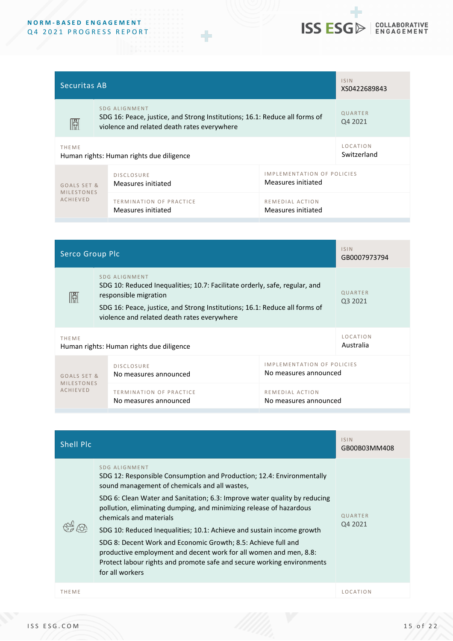

|                                  | Securitas AB                                                                                                                               |                                                         |  |
|----------------------------------|--------------------------------------------------------------------------------------------------------------------------------------------|---------------------------------------------------------|--|
| H                                | SDG ALIGNMENT<br>SDG 16: Peace, justice, and Strong Institutions; 16.1: Reduce all forms of<br>violence and related death rates everywhere |                                                         |  |
| THEME                            | Human rights: Human rights due diligence                                                                                                   |                                                         |  |
| GOALS SET &<br><b>MILESTONES</b> | <b>DISCLOSURE</b><br>Measures initiated                                                                                                    | <b>IMPLEMENTATION OF POLICIES</b><br>Measures initiated |  |
| <b>ACHIEVED</b>                  | <b>TERMINATION OF PRACTICE</b><br>Measures initiated                                                                                       | REMEDIAL ACTION<br>Measures initiated                   |  |

| Serco Group Plc                                          |                                                                                                                                                                                                                                                   | <b>ISIN</b><br>GB0007973794                                |                    |
|----------------------------------------------------------|---------------------------------------------------------------------------------------------------------------------------------------------------------------------------------------------------------------------------------------------------|------------------------------------------------------------|--------------------|
| H                                                        | SDG ALIGNMENT<br>SDG 10: Reduced Inequalities; 10.7: Facilitate orderly, safe, regular, and<br>responsible migration<br>SDG 16: Peace, justice, and Strong Institutions; 16.1: Reduce all forms of<br>violence and related death rates everywhere |                                                            | QUARTER<br>Q3 2021 |
| <b>THEME</b><br>Human rights: Human rights due diligence |                                                                                                                                                                                                                                                   | <b>LOCATION</b><br>Australia                               |                    |
| GOALS SET &<br><b>MILESTONES</b>                         | <b>DISCLOSURE</b><br>No measures announced                                                                                                                                                                                                        | <b>IMPLEMENTATION OF POLICIES</b><br>No measures announced |                    |
| <b>ACHIEVED</b>                                          | <b>TERMINATION OF PRACTICE</b><br>No measures announced                                                                                                                                                                                           | REMEDIAL ACTION<br>No measures announced                   |                    |

| <b>Shell Plc</b> |                                                                                                                                                                                                                                                                                                                                                                                                                                                                                                                                                                                                                                    | <b>ISIN</b><br>GB00B03MM408 |
|------------------|------------------------------------------------------------------------------------------------------------------------------------------------------------------------------------------------------------------------------------------------------------------------------------------------------------------------------------------------------------------------------------------------------------------------------------------------------------------------------------------------------------------------------------------------------------------------------------------------------------------------------------|-----------------------------|
|                  | SDG ALIGNMENT<br>SDG 12: Responsible Consumption and Production; 12.4: Environmentally<br>sound management of chemicals and all wastes,<br>SDG 6: Clean Water and Sanitation; 6.3: Improve water quality by reducing<br>pollution, eliminating dumping, and minimizing release of hazardous<br>chemicals and materials<br>SDG 10: Reduced Inequalities; 10.1: Achieve and sustain income growth<br>SDG 8: Decent Work and Economic Growth; 8.5: Achieve full and<br>productive employment and decent work for all women and men, 8.8:<br>Protect labour rights and promote safe and secure working environments<br>for all workers | QUARTER<br>Q4 2021          |
| <b>THEME</b>     |                                                                                                                                                                                                                                                                                                                                                                                                                                                                                                                                                                                                                                    | <b>LOCATION</b>             |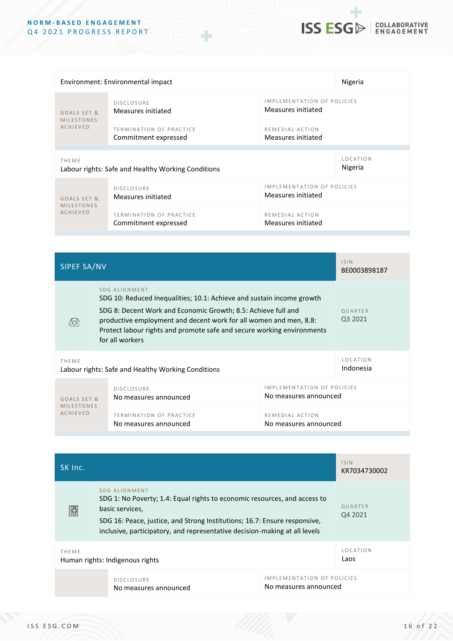

| Environment: Environmental impact                                                                |                                                        |                                                         | Nigeria |
|--------------------------------------------------------------------------------------------------|--------------------------------------------------------|---------------------------------------------------------|---------|
| GOALS SET &<br><b>MILESTONES</b><br><b>ACHIEVED</b>                                              | <b>DISCLOSURE</b><br>Measures initiated                | <b>IMPLEMENTATION OF POLICIES</b><br>Measures initiated |         |
|                                                                                                  | <b>TERMINATION OF PRACTICE</b><br>Commitment expressed | REMEDIAL ACTION<br>Measures initiated                   |         |
| <b>LOCATION</b><br><b>THEME</b><br>Nigeria<br>Labour rights: Safe and Healthy Working Conditions |                                                        |                                                         |         |
| GOALS SET &<br><b>MILESTONES</b><br><b>ACHIEVED</b>                                              | <b>DISCLOSURE</b><br>Measures initiated                | <b>IMPLEMENTATION OF POLICIES</b><br>Measures initiated |         |
|                                                                                                  | <b>TERMINATION OF PRACTICE</b><br>Commitment expressed | <b>REMEDIAL ACTION</b><br>Measures initiated            |         |

| SIPEF SA/NV                                                        |                                                                                                                                                                                                                                                                                                                           | <b>ISIN</b><br>BE0003898187                                |                           |
|--------------------------------------------------------------------|---------------------------------------------------------------------------------------------------------------------------------------------------------------------------------------------------------------------------------------------------------------------------------------------------------------------------|------------------------------------------------------------|---------------------------|
| 707                                                                | SDG ALIGNMENT<br>SDG 10: Reduced Inequalities; 10.1: Achieve and sustain income growth<br>SDG 8: Decent Work and Economic Growth; 8.5: Achieve full and<br>productive employment and decent work for all women and men, 8.8:<br>Protect labour rights and promote safe and secure working environments<br>for all workers |                                                            | <b>OUARTER</b><br>Q3 2021 |
| <b>THEME</b><br>Labour rights: Safe and Healthy Working Conditions |                                                                                                                                                                                                                                                                                                                           | <b>LOCATION</b><br>Indonesia                               |                           |
| GOALS SET &                                                        | <b>DISCLOSURE</b><br>No measures announced                                                                                                                                                                                                                                                                                | <b>IMPLEMENTATION OF POLICIES</b><br>No measures announced |                           |
| <b>MILESTONES</b><br><b>ACHIEVED</b>                               | <b>TERMINATION OF PRACTICE</b><br>No measures announced                                                                                                                                                                                                                                                                   | REMEDIAL ACTION<br>No measures announced                   |                           |

| SK Inc.                                         |                                                                                                                                                                                                                                                                          |                                                            | <b>ISIN</b><br>KR7034730002 |
|-------------------------------------------------|--------------------------------------------------------------------------------------------------------------------------------------------------------------------------------------------------------------------------------------------------------------------------|------------------------------------------------------------|-----------------------------|
| H                                               | SDG ALIGNMENT<br>SDG 1: No Poverty; 1.4: Equal rights to economic resources, and access to<br>basic services,<br>SDG 16: Peace, justice, and Strong Institutions; 16.7: Ensure responsive,<br>inclusive, participatory, and representative decision-making at all levels |                                                            | QUARTER<br>Q4 2021          |
| <b>THEME</b><br>Human rights: Indigenous rights |                                                                                                                                                                                                                                                                          | <b>LOCATION</b><br>Laos                                    |                             |
|                                                 | <b>DISCLOSURE</b><br>No measures announced                                                                                                                                                                                                                               | <b>IMPLEMENTATION OF POLICIES</b><br>No measures announced |                             |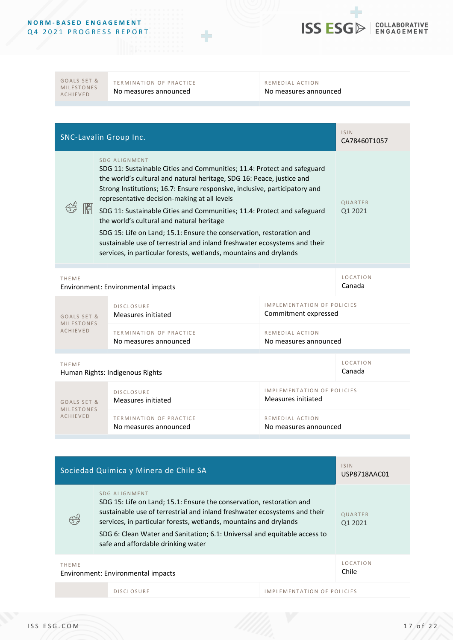

GOALS SET & M I L E S T O N E S A C H I E V E D

TERMINATION OF PRACTICE No measures announced

R E M E D I A L A C T I O N No measures announced

| SNC-Lavalin Group Inc.                   |                                                                                                                                                                                                                                                                                                                                                                                                                                                                                                                                                                                                                                                   |                                                           | <b>ISIN</b><br>CA78460T1057 |
|------------------------------------------|---------------------------------------------------------------------------------------------------------------------------------------------------------------------------------------------------------------------------------------------------------------------------------------------------------------------------------------------------------------------------------------------------------------------------------------------------------------------------------------------------------------------------------------------------------------------------------------------------------------------------------------------------|-----------------------------------------------------------|-----------------------------|
| Hã                                       | SDG ALIGNMENT<br>SDG 11: Sustainable Cities and Communities; 11.4: Protect and safeguard<br>the world's cultural and natural heritage, SDG 16: Peace, justice and<br>Strong Institutions; 16.7: Ensure responsive, inclusive, participatory and<br>representative decision-making at all levels<br>SDG 11: Sustainable Cities and Communities; 11.4: Protect and safeguard<br>the world's cultural and natural heritage<br>SDG 15: Life on Land; 15.1: Ensure the conservation, restoration and<br>sustainable use of terrestrial and inland freshwater ecosystems and their<br>services, in particular forests, wetlands, mountains and drylands |                                                           | QUARTER<br>01 2021          |
| THEME                                    | Environment: Environmental impacts                                                                                                                                                                                                                                                                                                                                                                                                                                                                                                                                                                                                                |                                                           | <b>LOCATION</b><br>Canada   |
| GOALS SET &<br><b>MILESTONES</b>         | <b>DISCLOSURE</b><br>Measures initiated                                                                                                                                                                                                                                                                                                                                                                                                                                                                                                                                                                                                           | <b>IMPLEMENTATION OF POLICIES</b><br>Commitment expressed |                             |
| <b>ACHIEVED</b>                          | <b>TERMINATION OF PRACTICE</b><br>No measures announced                                                                                                                                                                                                                                                                                                                                                                                                                                                                                                                                                                                           | REMEDIAL ACTION<br>No measures announced                  |                             |
| THEME<br>Human Rights: Indigenous Rights |                                                                                                                                                                                                                                                                                                                                                                                                                                                                                                                                                                                                                                                   | <b>LOCATION</b><br>Canada                                 |                             |
| GOALS SET &                              | <b>DISCLOSURE</b><br>Measures initiated                                                                                                                                                                                                                                                                                                                                                                                                                                                                                                                                                                                                           | <b>IMPLEMENTATION OF POLICIES</b><br>Measures initiated   |                             |
| <b>MILESTONES</b><br><b>ACHIEVED</b>     | TERMINATION OF PRACTICE<br>No measures announced                                                                                                                                                                                                                                                                                                                                                                                                                                                                                                                                                                                                  | REMEDIAL ACTION<br>No measures announced                  |                             |
|                                          |                                                                                                                                                                                                                                                                                                                                                                                                                                                                                                                                                                                                                                                   |                                                           |                             |

| Sociedad Quimica y Minera de Chile SA              |                                                                                                                                                                                                                                                                                                                                                            | <b>ISIN</b><br>USP8718AAC01       |                    |
|----------------------------------------------------|------------------------------------------------------------------------------------------------------------------------------------------------------------------------------------------------------------------------------------------------------------------------------------------------------------------------------------------------------------|-----------------------------------|--------------------|
|                                                    | SDG ALIGNMENT<br>SDG 15: Life on Land; 15.1: Ensure the conservation, restoration and<br>sustainable use of terrestrial and inland freshwater ecosystems and their<br>services, in particular forests, wetlands, mountains and drylands<br>SDG 6: Clean Water and Sanitation; 6.1: Universal and equitable access to<br>safe and affordable drinking water |                                   | QUARTER<br>01 2021 |
| <b>THEME</b><br>Environment: Environmental impacts |                                                                                                                                                                                                                                                                                                                                                            | <b>LOCATION</b><br>Chile          |                    |
|                                                    | <b>DISCLOSURE</b>                                                                                                                                                                                                                                                                                                                                          | <b>IMPLEMENTATION OF POLICIES</b> |                    |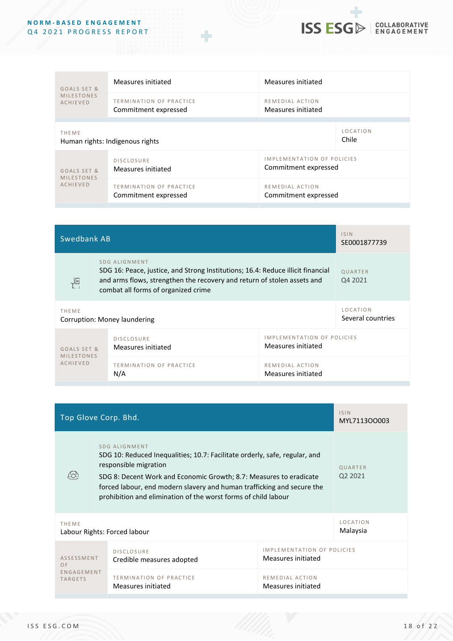

| GOALS SET &<br><b>MILESTONES</b><br><b>ACHIEVED</b>                  | Measures initiated                                     | Measures initiated                                        |  |
|----------------------------------------------------------------------|--------------------------------------------------------|-----------------------------------------------------------|--|
|                                                                      | <b>TERMINATION OF PRACTICE</b><br>Commitment expressed | REMEDIAL ACTION<br>Measures initiated                     |  |
| <b>LOCATION</b><br>THEME<br>Chile<br>Human rights: Indigenous rights |                                                        |                                                           |  |
| GOALS SET &                                                          | <b>DISCLOSURE</b><br>Measures initiated                | <b>IMPLEMENTATION OF POLICIES</b><br>Commitment expressed |  |
| <b>MILESTONES</b><br><b>ACHIEVED</b>                                 | TERMINATION OF PRACTICE<br>Commitment expressed        | REMEDIAL ACTION<br>Commitment expressed                   |  |

| Swedbank AB                           |                                                                                                                                                                                                                    | <b>ISIN</b><br>SE0001877739                             |                    |
|---------------------------------------|--------------------------------------------------------------------------------------------------------------------------------------------------------------------------------------------------------------------|---------------------------------------------------------|--------------------|
| 굔                                     | SDG ALIGNMENT<br>SDG 16: Peace, justice, and Strong Institutions; 16.4: Reduce illicit financial<br>and arms flows, strengthen the recovery and return of stolen assets and<br>combat all forms of organized crime |                                                         | QUARTER<br>Q4 2021 |
| THEME<br>Corruption: Money laundering |                                                                                                                                                                                                                    | LOCATION<br>Several countries                           |                    |
| GOALS SET &<br><b>MILESTONES</b>      | <b>DISCLOSURE</b><br>Measures initiated                                                                                                                                                                            | <b>IMPLEMENTATION OF POLICIES</b><br>Measures initiated |                    |
| <b>ACHIEVED</b>                       | <b>TERMINATION OF PRACTICE</b><br>N/A                                                                                                                                                                              | REMEDIAL ACTION<br>Measures initiated                   |                    |

| Top Glove Corp. Bhd.         |                                                                                                                                                                                                                                                                                                                                        | <b>ISIN</b><br>MYL711300003       |                                |
|------------------------------|----------------------------------------------------------------------------------------------------------------------------------------------------------------------------------------------------------------------------------------------------------------------------------------------------------------------------------------|-----------------------------------|--------------------------------|
| ₽₽                           | SDG ALIGNMENT<br>SDG 10: Reduced Inequalities; 10.7: Facilitate orderly, safe, regular, and<br>responsible migration<br>SDG 8: Decent Work and Economic Growth; 8.7: Measures to eradicate<br>forced labour, end modern slavery and human trafficking and secure the<br>prohibition and elimination of the worst forms of child labour |                                   | QUARTER<br>Q <sub>2</sub> 2021 |
| <b>THEME</b>                 |                                                                                                                                                                                                                                                                                                                                        | <b>LOCATION</b>                   |                                |
| Labour Rights: Forced labour |                                                                                                                                                                                                                                                                                                                                        | Malaysia                          |                                |
| <b>ASSESSMENT</b>            | <b>DISCLOSURE</b>                                                                                                                                                                                                                                                                                                                      | <b>IMPLEMENTATION OF POLICIES</b> |                                |
| $\bigcap F$                  | Credible measures adopted                                                                                                                                                                                                                                                                                                              | Measures initiated                |                                |
| ENGAGEMENT                   | <b>TERMINATION OF PRACTICE</b>                                                                                                                                                                                                                                                                                                         | REMEDIAL ACTION                   |                                |
| <b>TARGETS</b>               | Measures initiated                                                                                                                                                                                                                                                                                                                     | Measures initiated                |                                |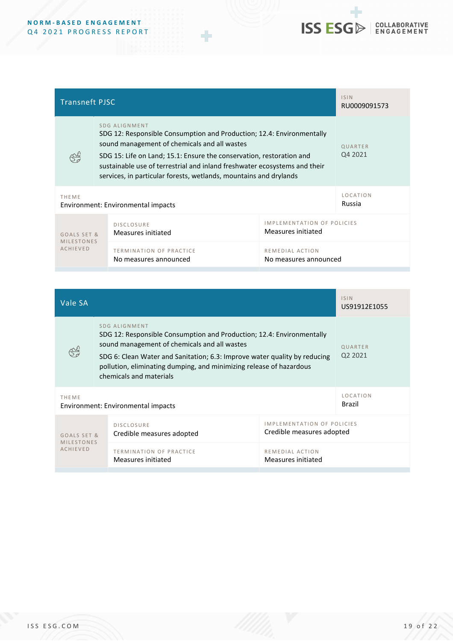## ٠ **ISS ESG** ENGAGEMENT

| <b>Transneft PJSC</b>                              |  |                                                                                                                                                                                                                                                                                                                                                                  | <b>ISIN</b><br>RU0009091573                             |                    |
|----------------------------------------------------|--|------------------------------------------------------------------------------------------------------------------------------------------------------------------------------------------------------------------------------------------------------------------------------------------------------------------------------------------------------------------|---------------------------------------------------------|--------------------|
|                                                    |  | SDG ALIGNMENT<br>SDG 12: Responsible Consumption and Production; 12.4: Environmentally<br>sound management of chemicals and all wastes<br>SDG 15: Life on Land; 15.1: Ensure the conservation, restoration and<br>sustainable use of terrestrial and inland freshwater ecosystems and their<br>services, in particular forests, wetlands, mountains and drylands |                                                         | QUARTER<br>Q4 2021 |
| <b>THEME</b><br>Environment: Environmental impacts |  |                                                                                                                                                                                                                                                                                                                                                                  | <b>LOCATION</b><br>Russia                               |                    |
| GOALS SET &<br><b>MILESTONES</b>                   |  | <b>DISCLOSURE</b><br>Measures initiated                                                                                                                                                                                                                                                                                                                          | <b>IMPLEMENTATION OF POLICIES</b><br>Measures initiated |                    |
| <b>ACHIEVED</b>                                    |  | <b>TERMINATION OF PRACTICE</b><br>No measures announced                                                                                                                                                                                                                                                                                                          | REMEDIAL ACTION<br>No measures announced                |                    |

| Vale SA                                             |                                                                                                                                                                                                                                                                                                                       |                                       |                                            |
|-----------------------------------------------------|-----------------------------------------------------------------------------------------------------------------------------------------------------------------------------------------------------------------------------------------------------------------------------------------------------------------------|---------------------------------------|--------------------------------------------|
| 资.                                                  | SDG ALIGNMENT<br>SDG 12: Responsible Consumption and Production; 12.4: Environmentally<br>sound management of chemicals and all wastes<br>SDG 6: Clean Water and Sanitation; 6.3: Improve water quality by reducing<br>pollution, eliminating dumping, and minimizing release of hazardous<br>chemicals and materials |                                       | QUARTER<br>Q <sub>2</sub> 20 <sub>21</sub> |
| THEME<br>Environment: Environmental impacts         |                                                                                                                                                                                                                                                                                                                       |                                       | <b>LOCATION</b><br>Brazil                  |
| GOALS SET &<br><b>MILESTONES</b><br><b>ACHIEVED</b> | <b>IMPLEMENTATION OF POLICIES</b><br><b>DISCLOSURE</b><br>Credible measures adopted<br>Credible measures adopted                                                                                                                                                                                                      |                                       |                                            |
|                                                     | TERMINATION OF PRACTICE<br>Measures initiated                                                                                                                                                                                                                                                                         | REMEDIAL ACTION<br>Measures initiated |                                            |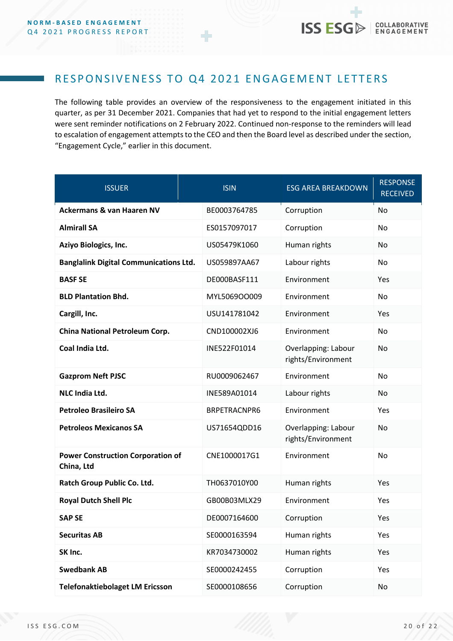## <span id="page-19-0"></span>RESPONSIVENESS TO Q4 2021 ENGAGEMENT LETTERS

The following table provides an overview of the responsiveness to the engagement initiated in this quarter, as per 31 December 2021. Companies that had yet to respond to the initial engagement letters were sent reminder notifications on 2 February 2022. Continued non-response to the reminders will lead to escalation of engagement attempts to the CEO and then the Board level as described under the section, "Engagement Cycle," earlier in this document.

| <b>ISSUER</b>                                          | <b>ISIN</b>  | <b>ESG AREA BREAKDOWN</b>                 | <b>RESPONSE</b><br><b>RECEIVED</b> |
|--------------------------------------------------------|--------------|-------------------------------------------|------------------------------------|
| <b>Ackermans &amp; van Haaren NV</b>                   | BE0003764785 | Corruption                                | No                                 |
| <b>Almirall SA</b>                                     | ES0157097017 | Corruption                                | No                                 |
| Aziyo Biologics, Inc.                                  | US05479K1060 | Human rights                              | No                                 |
| <b>Banglalink Digital Communications Ltd.</b>          | US059897AA67 | Labour rights                             | No                                 |
| <b>BASF SE</b>                                         | DE000BASF111 | Environment                               | Yes                                |
| <b>BLD Plantation Bhd.</b>                             | MYL5069OO009 | Environment                               | No                                 |
| Cargill, Inc.                                          | USU141781042 | Environment                               | Yes                                |
| China National Petroleum Corp.                         | CND100002XJ6 | Environment                               | No                                 |
| Coal India Ltd.                                        | INE522F01014 | Overlapping: Labour<br>rights/Environment | No                                 |
| <b>Gazprom Neft PJSC</b>                               | RU0009062467 | Environment                               | <b>No</b>                          |
| <b>NLC India Ltd.</b>                                  | INE589A01014 | Labour rights                             | No                                 |
| <b>Petroleo Brasileiro SA</b>                          | BRPETRACNPR6 | Environment                               | Yes                                |
| <b>Petroleos Mexicanos SA</b>                          | US71654QDD16 | Overlapping: Labour<br>rights/Environment | No                                 |
| <b>Power Construction Corporation of</b><br>China, Ltd | CNE1000017G1 | Environment                               | No                                 |
| Ratch Group Public Co. Ltd.                            | TH0637010Y00 | Human rights                              | Yes                                |
| <b>Royal Dutch Shell Plc</b>                           | GB00B03MLX29 | Environment                               | Yes                                |
| <b>SAP SE</b>                                          | DE0007164600 | Corruption                                | Yes                                |
| <b>Securitas AB</b>                                    | SE0000163594 | Human rights                              | Yes                                |
| SK Inc.                                                | KR7034730002 | Human rights                              | Yes                                |
| <b>Swedbank AB</b>                                     | SE0000242455 | Corruption                                | Yes                                |
| <b>Telefonaktiebolaget LM Ericsson</b>                 | SE0000108656 | Corruption                                | No                                 |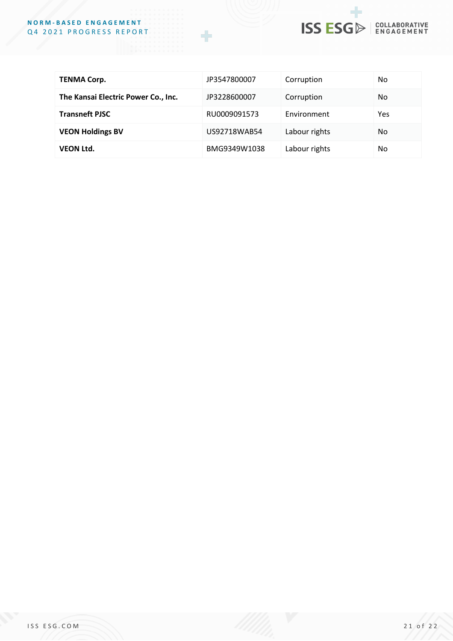

| <b>TENMA Corp.</b>                  | JP3547800007 | Corruption    | No  |
|-------------------------------------|--------------|---------------|-----|
| The Kansai Electric Power Co., Inc. | JP3228600007 | Corruption    | No  |
| <b>Transneft PJSC</b>               | RU0009091573 | Environment   | Yes |
| <b>VEON Holdings BV</b>             | US92718WAB54 | Labour rights | No  |
| <b>VEON Ltd.</b>                    | BMG9349W1038 | Labour rights | No  |